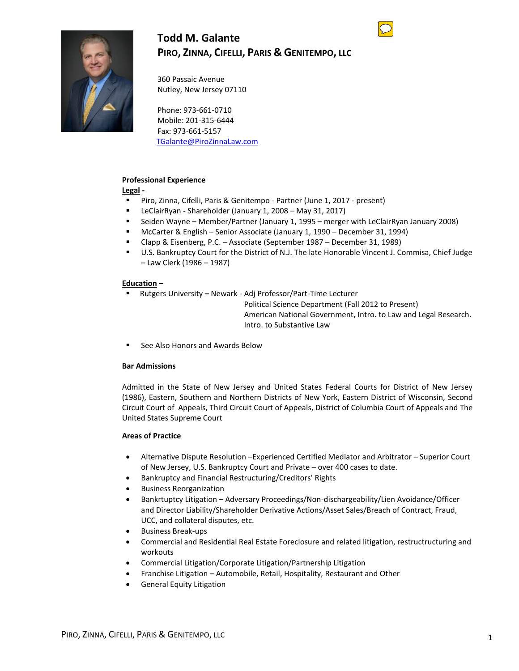# **Todd M. Galante PIRO, ZINNA, CIFELLI, PARIS & GENITEMPO, LLC**



360 Passaic Avenue Nutley, New Jersey 07110

Phone: 973-661-0710 Mobile: 201-315-6444 Fax: 973-661-5157 [TGalante@PiroZinnaLaw.com](mailto:TGalante@PiroZinnaLaw.com)

## **Professional Experience**

**Legal -**

- Piro, Zinna, Cifelli, Paris & Genitempo Partner (June 1, 2017 present)
- LeClairRyan Shareholder (January 1, 2008 May 31, 2017)
- Seiden Wayne Member/Partner (January 1, 1995 merger with LeClairRyan January 2008)
- McCarter & English Senior Associate (January 1, 1990 December 31, 1994)
- Clapp & Eisenberg, P.C. Associate (September 1987 December 31, 1989)
- U.S. Bankruptcy Court for the District of N.J. The late Honorable Vincent J. Commisa, Chief Judge – Law Clerk (1986 – 1987)

#### **Education –**

▪ Rutgers University – Newark - Adj Professor/Part-Time Lecturer

Political Science Department (Fall 2012 to Present) American National Government, Intro. to Law and Legal Research. Intro. to Substantive Law

■ See Also Honors and Awards Below

#### **Bar Admissions**

Admitted in the State of New Jersey and United States Federal Courts for District of New Jersey (1986), Eastern, Southern and Northern Districts of New York, Eastern District of Wisconsin, Second Circuit Court of Appeals, Third Circuit Court of Appeals, District of Columbia Court of Appeals and The United States Supreme Court

#### **Areas of Practice**

- Alternative Dispute Resolution –Experienced Certified Mediator and Arbitrator Superior Court of New Jersey, U.S. Bankruptcy Court and Private – over 400 cases to date.
- Bankruptcy and Financial Restructuring/Creditors' Rights
- Business Reorganization
- Bankrtuptcy Litigation Adversary Proceedings/Non-dischargeability/Lien Avoidance/Officer and Director Liability/Shareholder Derivative Actions/Asset Sales/Breach of Contract, Fraud, UCC, and collateral disputes, etc.
- Business Break-ups
- Commercial and Residential Real Estate Foreclosure and related litigation, restructructuring and workouts
- Commercial Litigation/Corporate Litigation/Partnership Litigation
- Franchise Litigation Automobile, Retail, Hospitality, Restaurant and Other
- General Equity Litigation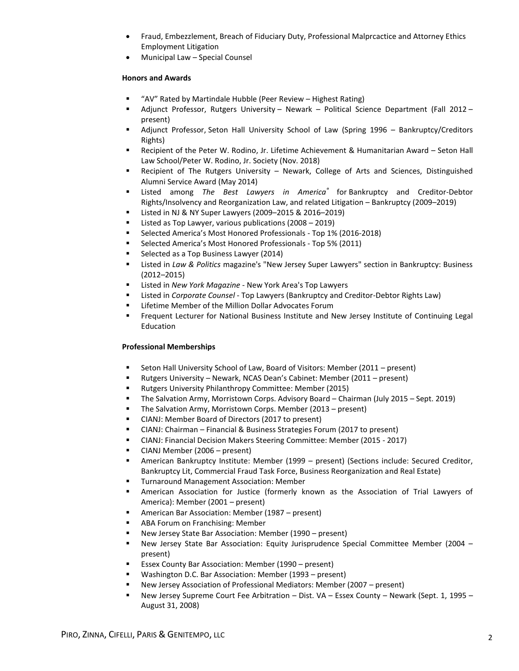- Fraud, Embezzlement, Breach of Fiduciary Duty, Professional Malprcactice and Attorney Ethics Employment Litigation
- Municipal Law Special Counsel

## **Honors and Awards**

- "AV" Rated by Martindale Hubble (Peer Review Highest Rating)
- Adjunct Professor, Rutgers University Newark Political Science Department (Fall 2012 present)
- Adjunct Professor, Seton Hall University School of Law (Spring 1996 Bankruptcy/Creditors Rights)
- Recipient of the Peter W. Rodino, Jr. Lifetime Achievement & Humanitarian Award Seton Hall Law School/Peter W. Rodino, Jr. Society (Nov. 2018)
- **E** Recipient of The Rutgers University Newark, College of Arts and Sciences, Distinguished Alumni Service Award (May 2014)
- Listed among *The Best Lawyers in America®* for Bankruptcy and Creditor-Debtor Rights/Insolvency and Reorganization Law, and related Litigation – Bankruptcy (2009–2019)
- Listed in NJ & NY Super Lawyers (2009–2015 & 2016–2019)
- Listed as Top Lawyer, various publications (2008 2019)
- Selected America's Most Honored Professionals Top 1% (2016-2018)
- Selected America's Most Honored Professionals Top 5% (2011)
- Selected as a Top Business Lawyer (2014)
- Listed in *Law & Politics* magazine's "New Jersey Super Lawyers" section in Bankruptcy: Business (2012–2015)
- Listed in *New York Magazine*  New York Area's Top Lawyers
- Listed in *Corporate Counsel*  Top Lawyers (Bankruptcy and Creditor-Debtor Rights Law)
- Lifetime Member of the Million Dollar Advocates Forum
- **■** Frequent Lecturer for National Business Institute and New Jersey Institute of Continuing Legal Education

## **Professional Memberships**

- Seton Hall University School of Law, Board of Visitors: Member (2011 present)
- Rutgers University Newark, NCAS Dean's Cabinet: Member (2011 present)
- Rutgers University Philanthropy Committee: Member (2015)
- The Salvation Army, Morristown Corps. Advisory Board Chairman (July 2015 Sept. 2019)
- The Salvation Army, Morristown Corps. Member (2013 present)
- CIANJ: Member Board of Directors (2017 to present)
- CIANJ: Chairman Financial & Business Strategies Forum (2017 to present)
- CIANJ: Financial Decision Makers Steering Committee: Member (2015 2017)
- CIANJ Member (2006 present)
- American Bankruptcy Institute: Member (1999 present) (Sections include: Secured Creditor, Bankruptcy Lit, Commercial Fraud Task Force, Business Reorganization and Real Estate)
- **Turnaround Management Association: Member**
- American Association for Justice (formerly known as the Association of Trial Lawyers of America): Member (2001 – present)
- American Bar Association: Member (1987 present)
- ABA Forum on Franchising: Member
- New Jersey State Bar Association: Member (1990 present)
- New Jersey State Bar Association: Equity Jurisprudence Special Committee Member (2004 present)
- Essex County Bar Association: Member (1990 present)
- Washington D.C. Bar Association: Member (1993 present)
- New Jersey Association of Professional Mediators: Member (2007 present)
- New Jersey Supreme Court Fee Arbitration Dist. VA Essex County Newark (Sept. 1, 1995 August 31, 2008)